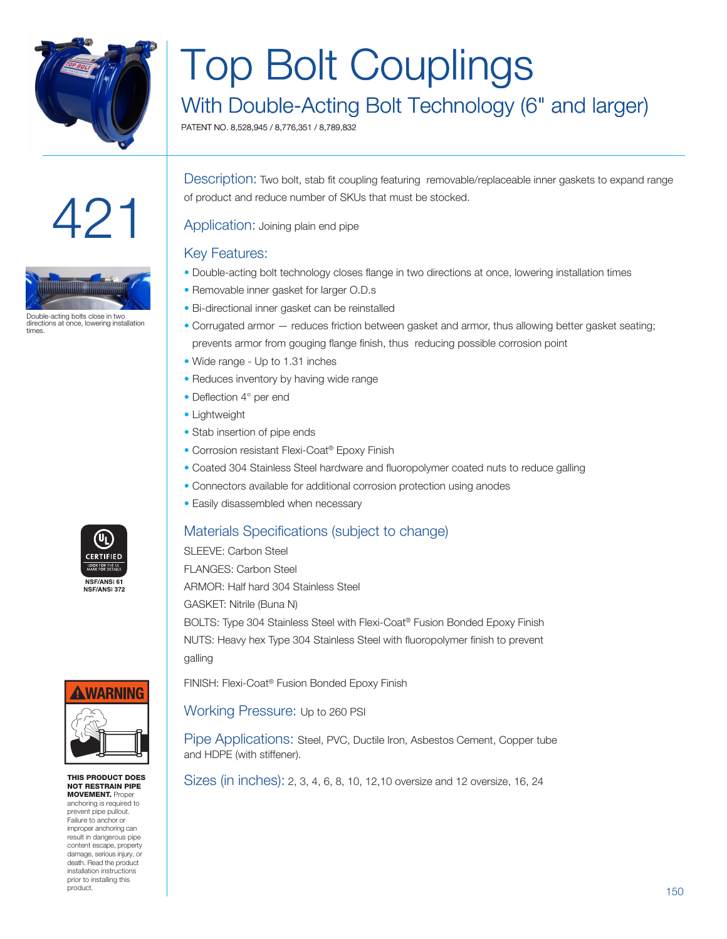

## Top Bolt Couplings

### With Double-Acting Bolt Technology (6" and larger)

PATENT NO. 8,528,945 / 8,776,351 / 8,789,832





Double-acting bolts close in two directions at once, lowering installation times

Description: Two bolt, stab fit coupling featuring removable/replaceable inner gaskets to expand range of product and reduce number of SKUs that must be stocked.

Application: Joining plain end pipe

#### Key Features:

- Double-acting bolt technology closes flange in two directions at once, lowering installation times
- Removable inner gasket for larger O.D.s
- Bi-directional inner gasket can be reinstalled
- Corrugated armor reduces friction between gasket and armor, thus allowing better gasket seating; prevents armor from gouging flange finish, thus reducing possible corrosion point
- Wide range Up to 1.31 inches
- Reduces inventory by having wide range
- Deflection 4° per end
- Lightweight
- Stab insertion of pipe ends
- Corrosion resistant Flexi-Coat® Epoxy Finish
- Coated 304 Stainless Steel hardware and fluoropolymer coated nuts to reduce galling
- Connectors available for additional corrosion protection using anodes
- Easily disassembled when necessary



SLEEVE: Carbon Steel FLANGES: Carbon Steel ARMOR: Half hard 304 Stainless Steel GASKET: Nitrile (Buna N) BOLTS: Type 304 Stainless Steel with Flexi-Coat® Fusion Bonded Epoxy Finish NUTS: Heavy hex Type 304 Stainless Steel with fluoropolymer finish to prevent galling

FINISH: Flexi-Coat® Fusion Bonded Epoxy Finish

Working Pressure: Up to 260 PSI

Pipe Applications: Steel, PVC, Ductile Iron, Asbestos Cement, Copper tube and HDPE (with stiffener).

THIS PRODUCT DOES  $\bigcup_{N \in \mathbb{Z}}$  Sizes (in inches): 2, 3, 4, 6, 8, 10, 12, 10 oversize and 12 oversize, 16, 24





NOT RESTRAIN PIPE **MOVEMENT.** Proper

anchoring is required to prevent pipe pullout. Failure to anchor or improper anchoring can result in dangerous pipe content escape, property damage, serious injury, or death. Read the product installation instructions prior to installing this product.